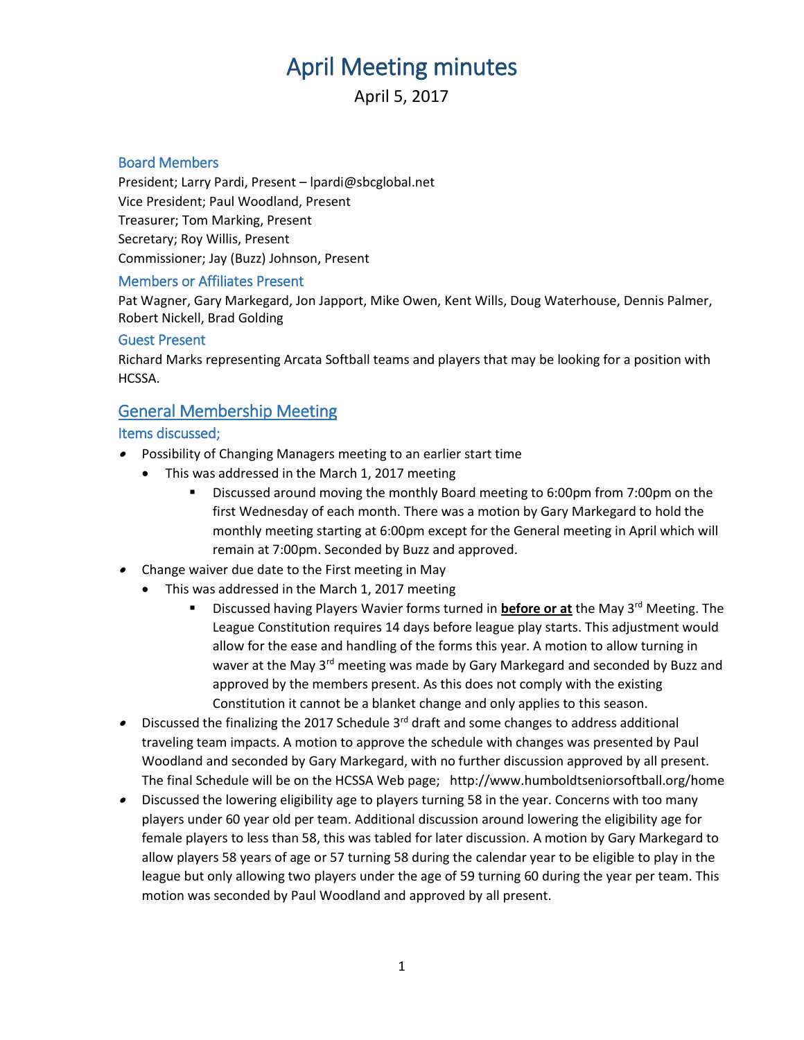# April Meeting minutes

April 5, 2017

## Board Members

President; Larry Pardi, Present – lpardi@sbcglobal.net Vice President; Paul Woodland, Present Treasurer; Tom Marking, Present Secretary; Roy Willis, Present Commissioner; Jay (Buzz) Johnson, Present

### Members or Affiliates Present

Pat Wagner, Gary Markegard, Jon Japport, Mike Owen, Kent Wills, Doug Waterhouse, Dennis Palmer, Robert Nickell, Brad Golding

### Guest Present

Richard Marks representing Arcata Softball teams and players that may be looking for a position with HCSSA.

# General Membership Meeting

## Items discussed;

- Possibility of Changing Managers meeting to an earlier start time
	- This was addressed in the March 1, 2017 meeting
		- Discussed around moving the monthly Board meeting to 6:00pm from 7:00pm on the first Wednesday of each month. There was a motion by Gary Markegard to hold the monthly meeting starting at 6:00pm except for the General meeting in April which will remain at 7:00pm. Seconded by Buzz and approved.
- Change waiver due date to the First meeting in May
	- This was addressed in the March 1, 2017 meeting
		- Discussed having Players Wavier forms turned in **before or at** the May 3rd Meeting. The League Constitution requires 14 days before league play starts. This adjustment would allow for the ease and handling of the forms this year. A motion to allow turning in waver at the May  $3^{rd}$  meeting was made by Gary Markegard and seconded by Buzz and approved by the members present. As this does not comply with the existing Constitution it cannot be a blanket change and only applies to this season.
- $\bullet$  Discussed the finalizing the 2017 Schedule 3<sup>rd</sup> draft and some changes to address additional traveling team impacts. A motion to approve the schedule with changes was presented by Paul Woodland and seconded by Gary Markegard, with no further discussion approved by all present. The final Schedule will be on the HCSSA Web page; http://www.humboldtseniorsoftball.org/home
- Discussed the lowering eligibility age to players turning 58 in the year. Concerns with too many players under 60 year old per team. Additional discussion around lowering the eligibility age for female players to less than 58, this was tabled for later discussion. A motion by Gary Markegard to allow players 58 years of age or 57 turning 58 during the calendar year to be eligible to play in the league but only allowing two players under the age of 59 turning 60 during the year per team. This motion was seconded by Paul Woodland and approved by all present.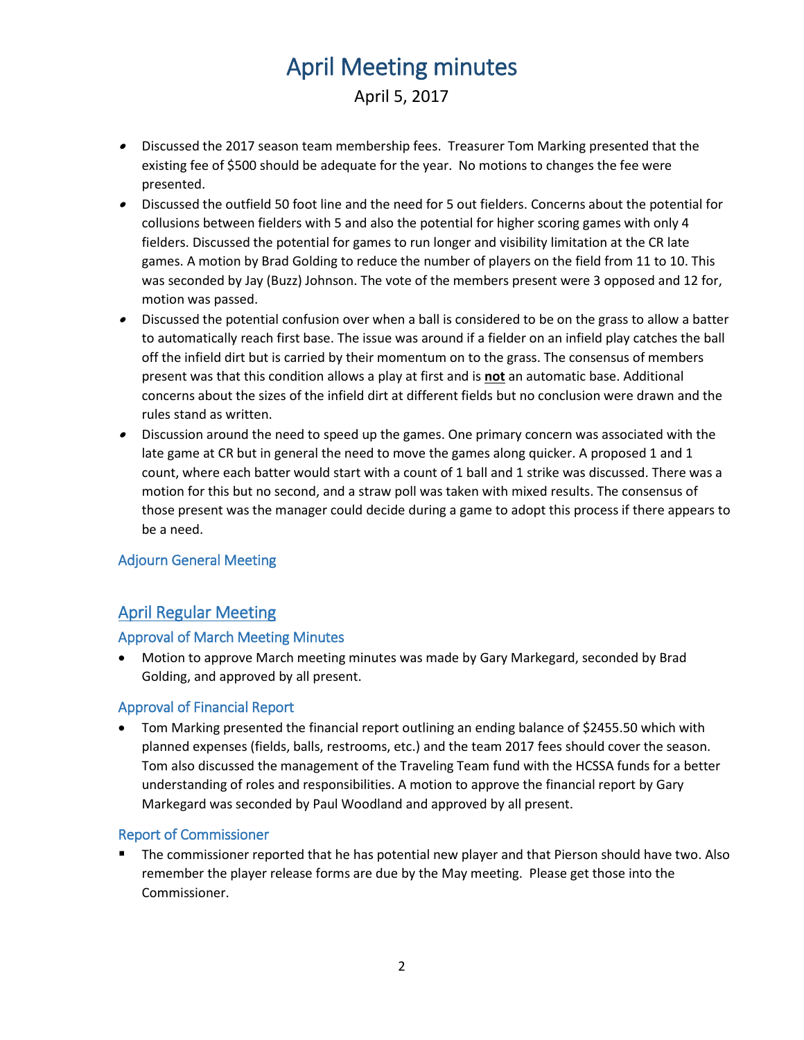# April Meeting minutes

April 5, 2017

- Discussed the 2017 season team membership fees. Treasurer Tom Marking presented that the existing fee of \$500 should be adequate for the year. No motions to changes the fee were presented.
- Discussed the outfield 50 foot line and the need for 5 out fielders. Concerns about the potential for collusions between fielders with 5 and also the potential for higher scoring games with only 4 fielders. Discussed the potential for games to run longer and visibility limitation at the CR late games. A motion by Brad Golding to reduce the number of players on the field from 11 to 10. This was seconded by Jay (Buzz) Johnson. The vote of the members present were 3 opposed and 12 for, motion was passed.
- Discussed the potential confusion over when a ball is considered to be on the grass to allow a batter to automatically reach first base. The issue was around if a fielder on an infield play catches the ball off the infield dirt but is carried by their momentum on to the grass. The consensus of members present was that this condition allows a play at first and is **not** an automatic base. Additional concerns about the sizes of the infield dirt at different fields but no conclusion were drawn and the rules stand as written.
- Discussion around the need to speed up the games. One primary concern was associated with the late game at CR but in general the need to move the games along quicker. A proposed 1 and 1 count, where each batter would start with a count of 1 ball and 1 strike was discussed. There was a motion for this but no second, and a straw poll was taken with mixed results. The consensus of those present was the manager could decide during a game to adopt this process if there appears to be a need.

## Adjourn General Meeting

# April Regular Meeting

## Approval of March Meeting Minutes

 Motion to approve March meeting minutes was made by Gary Markegard, seconded by Brad Golding, and approved by all present.

### Approval of Financial Report

• Tom Marking presented the financial report outlining an ending balance of \$2455.50 which with planned expenses (fields, balls, restrooms, etc.) and the team 2017 fees should cover the season. Tom also discussed the management of the Traveling Team fund with the HCSSA funds for a better understanding of roles and responsibilities. A motion to approve the financial report by Gary Markegard was seconded by Paul Woodland and approved by all present.

### Report of Commissioner

 The commissioner reported that he has potential new player and that Pierson should have two. Also remember the player release forms are due by the May meeting. Please get those into the Commissioner.